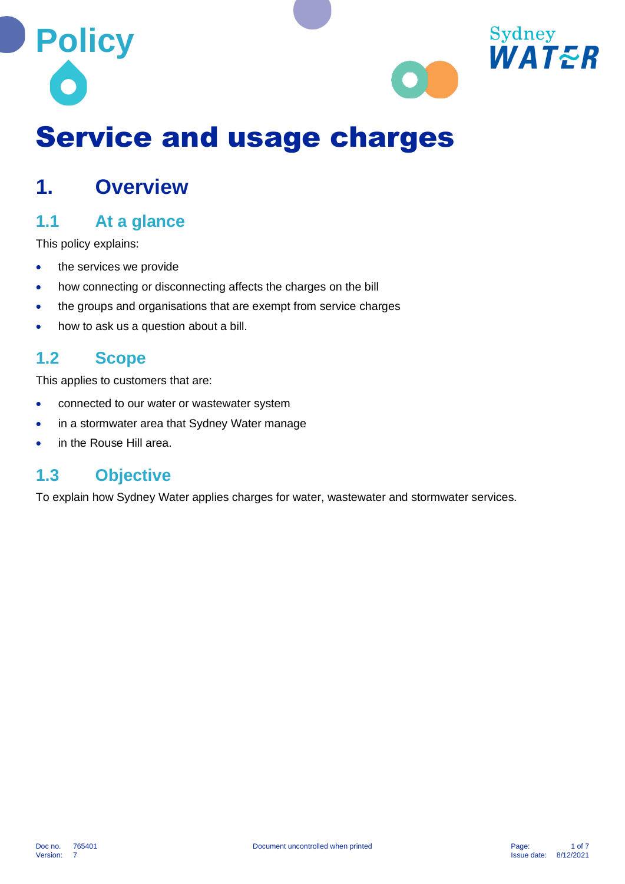



# Service and usage charges

## **1. Overview**

## **1.1 At a glance**

This policy explains:

- the services we provide
- how connecting or disconnecting affects the charges on the bill
- the groups and organisations that are exempt from service charges
- how to ask us a question about a bill.

## **1.2 Scope**

This applies to customers that are:

- connected to our water or wastewater system
- in a stormwater area that Sydney Water manage
- in the Rouse Hill area.

## **1.3 Objective**

To explain how Sydney Water applies charges for water, wastewater and stormwater services.

Version: 7 Issue date: 8/12/2021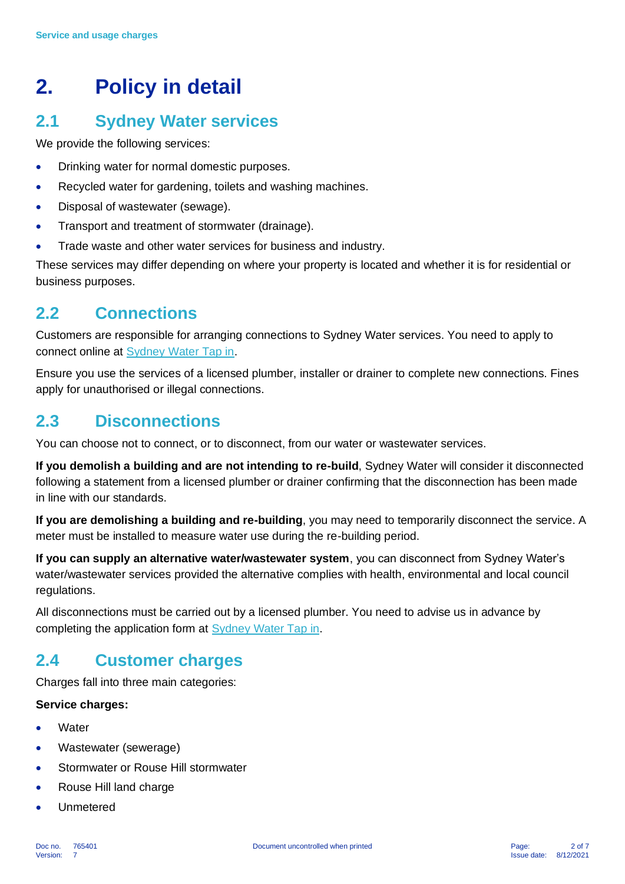## **2. Policy in detail**

## **2.1 Sydney Water services**

We provide the following services:

- Drinking water for normal domestic purposes.
- Recycled water for gardening, toilets and washing machines.
- Disposal of wastewater (sewage).
- Transport and treatment of stormwater (drainage).
- Trade waste and other water services for business and industry.

These services may differ depending on where your property is located and whether it is for residential or business purposes.

## **2.2 Connections**

Customers are responsible for arranging connections to Sydney Water services. You need to apply to connect online at [Sydney Water Tap in.](https://www.sydneywater.com.au/plumbing-building-developing/building/sydney-water-tap-in.html)

Ensure you use the services of a licensed plumber, installer or drainer to complete new connections. Fines apply for unauthorised or illegal connections.

## **2.3 Disconnections**

You can choose not to connect, or to disconnect, from our water or wastewater services.

**If you demolish a building and are not intending to re-build**, Sydney Water will consider it disconnected following a statement from a licensed plumber or drainer confirming that the disconnection has been made in line with our standards.

**If you are demolishing a building and re-building**, you may need to temporarily disconnect the service. A meter must be installed to measure water use during the re-building period.

**If you can supply an alternative water/wastewater system**, you can disconnect from Sydney Water's water/wastewater services provided the alternative complies with health, environmental and local council regulations.

All disconnections must be carried out by a licensed plumber. You need to advise us in advance by completing the application form at [Sydney Water Tap in.](https://www.sydneywater.com.au/plumbing-building-developing/building/sydney-water-tap-in.html)

## **2.4 Customer charges**

Charges fall into three main categories:

#### **Service charges:**

- **Water**
- Wastewater (sewerage)
- Stormwater or Rouse Hill stormwater
- Rouse Hill land charge
- Unmetered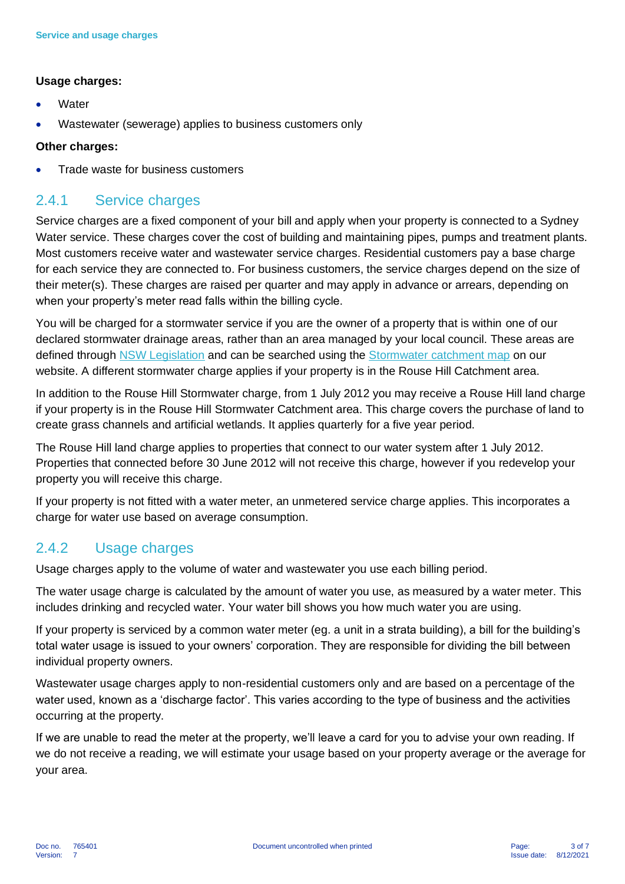#### **Usage charges:**

- **Water**
- Wastewater (sewerage) applies to business customers only

#### **Other charges:**

• Trade waste for business customers

### 2.4.1 Service charges

Service charges are a fixed component of your bill and apply when your property is connected to a Sydney Water service. These charges cover the cost of building and maintaining pipes, pumps and treatment plants. Most customers receive water and wastewater service charges. Residential customers pay a base charge for each service they are connected to. For business customers, the service charges depend on the size of their meter(s). These charges are raised per quarter and may apply in advance or arrears, depending on when your property's meter read falls within the billing cycle.

You will be charged for a stormwater service if you are the owner of a property that is within one of our declared stormwater drainage areas, rather than an area managed by your local council. These areas are defined through [NSW Legislation](https://legislation.nsw.gov.au/view/html/inforce/current/sl-2012-0292#sch.1) and can be searched using the [Stormwater catchment map](https://www.sydneywater.com.au/water-the-environment/how-we-manage-sydneys-water/stormwater-network/stormwater-catchment-map.html) on our website. A different stormwater charge applies if your property is in the Rouse Hill Catchment area.

In addition to the Rouse Hill Stormwater charge, from 1 July 2012 you may receive a Rouse Hill land charge if your property is in the Rouse Hill Stormwater Catchment area. This charge covers the purchase of land to create grass channels and artificial wetlands. It applies quarterly for a five year period.

The Rouse Hill land charge applies to properties that connect to our water system after 1 July 2012. Properties that connected before 30 June 2012 will not receive this charge, however if you redevelop your property you will receive this charge.

If your property is not fitted with a water meter, an unmetered service charge applies. This incorporates a charge for water use based on average consumption.

### 2.4.2 Usage charges

Usage charges apply to the volume of water and wastewater you use each billing period.

The water usage charge is calculated by the amount of water you use, as measured by a water meter. This includes drinking and recycled water. Your water bill shows you how much water you are using.

If your property is serviced by a common water meter (eg. a unit in a strata building), a bill for the building's total water usage is issued to your owners' corporation. They are responsible for dividing the bill between individual property owners.

Wastewater usage charges apply to non-residential customers only and are based on a percentage of the water used, known as a 'discharge factor'. This varies according to the type of business and the activities occurring at the property.

If we are unable to read the meter at the property, we'll leave a card for you to advise your own reading. If we do not receive a reading, we will estimate your usage based on your property average or the average for your area.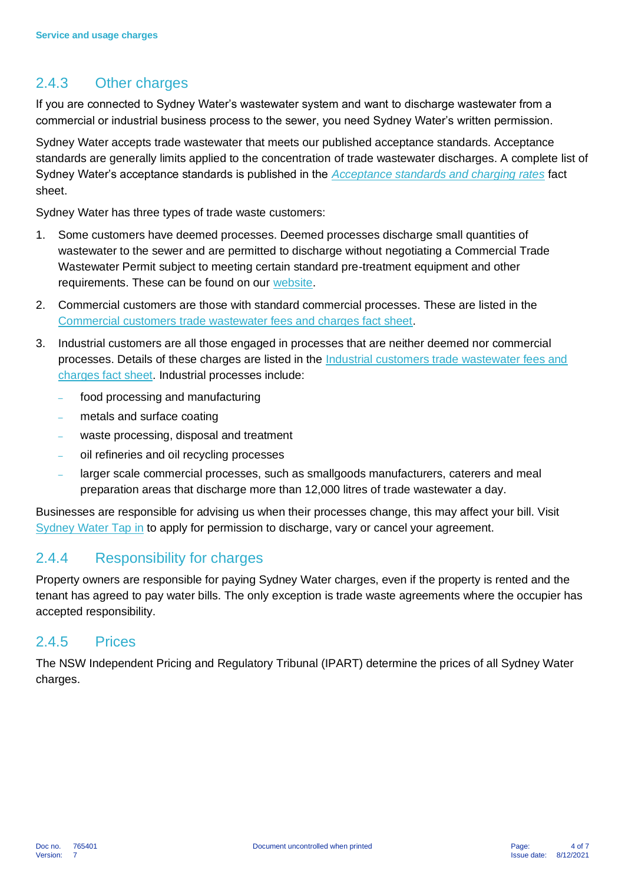## 2.4.3 Other charges

If you are connected to Sydney Water's wastewater system and want to discharge wastewater from a commercial or industrial business process to the sewer, you need Sydney Water's written permission.

Sydney Water accepts trade wastewater that meets our published acceptance standards. Acceptance standards are generally limits applied to the concentration of trade wastewater discharges. A complete list of Sydney Water's acceptance standards is published in the *[Acceptance standards and charging rates](https://www.sydneywater.com.au/content/dam/sydneywater/documents/industrial-customers-acceptance-standards-and-charges.pdf)* fact sheet.

Sydney Water has three types of trade waste customers:

- 1. Some customers have deemed processes. Deemed processes discharge small quantities of wastewater to the sewer and are permitted to discharge without negotiating a Commercial Trade Wastewater Permit subject to meeting certain standard pre-treatment equipment and other requirements. These can be found on our [website.](https://www.sydneywater.com.au/your-business/managing-trade-wastewater/commercial-trade-wastewater.html#ID11)
- 2. Commercial customers are those with standard commercial processes. These are listed in the [Commercial customers trade wastewater fees and charges fact sheet.](https://www.sydneywater.com.au/content/dam/sydneywater/documents/commercial-customers-trade-wastewater-fees-and-charges.pdf)
- 3. Industrial customers are all those engaged in processes that are neither deemed nor commercial processes. Details of these charges are listed in the [Industrial customers trade wastewater fees and](https://www.sydneywater.com.au/content/dam/sydneywater/documents/industrial-customers-trade-wastewater-fees-and-charges.pdf)  [charges fact sheet.](https://www.sydneywater.com.au/content/dam/sydneywater/documents/industrial-customers-trade-wastewater-fees-and-charges.pdf) Industrial processes include:
	- food processing and manufacturing
	- metals and surface coating
	- waste processing, disposal and treatment
	- oil refineries and oil recycling processes
	- larger scale commercial processes, such as smallgoods manufacturers, caterers and meal preparation areas that discharge more than 12,000 litres of trade wastewater a day.

Businesses are responsible for advising us when their processes change, this may affect your bill. Visit [Sydney Water Tap in](https://www.sydneywater.com.au/plumbing-building-developing/building/sydney-water-tap-in.html) to apply for permission to discharge, vary or cancel your agreement.

### 2.4.4 Responsibility for charges

Property owners are responsible for paying Sydney Water charges, even if the property is rented and the tenant has agreed to pay water bills. The only exception is trade waste agreements where the occupier has accepted responsibility.

#### 2.4.5 Prices

The NSW Independent Pricing and Regulatory Tribunal (IPART) determine the prices of all Sydney Water charges.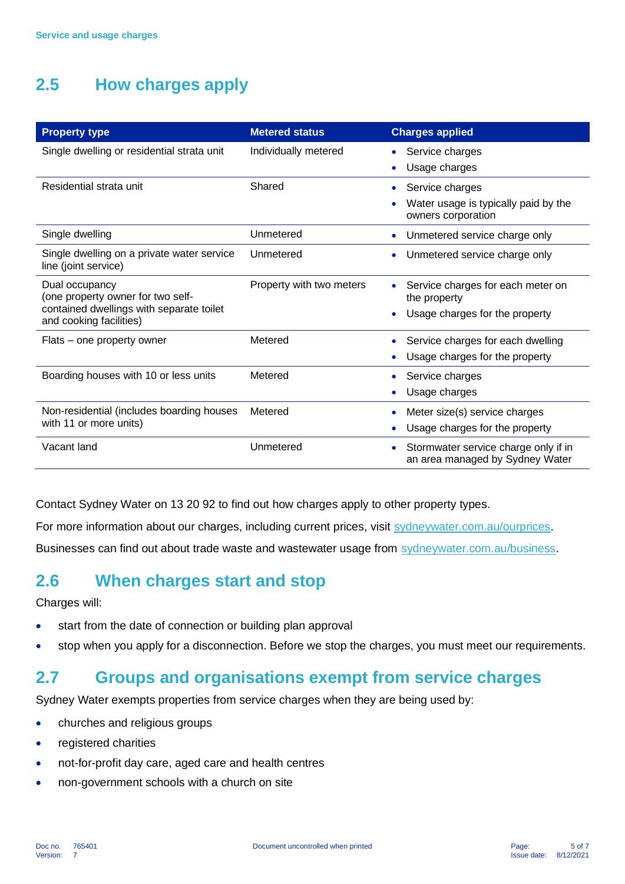## **2.5 How charges apply**

| <b>Property type</b>                                                | <b>Metered status</b>    | <b>Charges applied</b>                                                  |
|---------------------------------------------------------------------|--------------------------|-------------------------------------------------------------------------|
| Single dwelling or residential strata unit                          | Individually metered     | Service charges                                                         |
|                                                                     |                          | Usage charges                                                           |
| Residential strata unit                                             | Shared                   | Service charges<br>۰                                                    |
|                                                                     |                          | Water usage is typically paid by the<br>owners corporation              |
| Single dwelling                                                     | Unmetered                | Unmetered service charge only<br>$\bullet$                              |
| Single dwelling on a private water service<br>line (joint service)  | Unmetered                | Unmetered service charge only                                           |
| Dual occupancy<br>(one property owner for two self-                 | Property with two meters | Service charges for each meter on<br>the property                       |
| contained dwellings with separate toilet<br>and cooking facilities) |                          | Usage charges for the property                                          |
| Flats – one property owner                                          | Metered                  | Service charges for each dwelling                                       |
|                                                                     |                          | Usage charges for the property                                          |
| Boarding houses with 10 or less units                               | Metered                  | Service charges                                                         |
|                                                                     |                          | Usage charges                                                           |
| Non-residential (includes boarding houses<br>with 11 or more units) | Metered                  | Meter size(s) service charges                                           |
|                                                                     |                          | Usage charges for the property<br>$\bullet$                             |
| Vacant land                                                         | Unmetered                | Stormwater service charge only if in<br>an area managed by Sydney Water |

Contact Sydney Water on 13 20 92 to find out how charges apply to other property types.

For more information about our charges, including current prices, visit [sydneywater.com.au/ourprices.](https://www.sydneywater.com.au/accounts-billing/managing-your-account/about-your-account/our-prices.html)

Businesses can find out about trade waste and wastewater usage from [sydneywater.com.au/business.](https://www.sydneywater.com.au/your-business.html)

## **2.6 When charges start and stop**

Charges will:

- start from the date of connection or building plan approval
- stop when you apply for a disconnection. Before we stop the charges, you must meet our requirements.

## **2.7 Groups and organisations exempt from service charges**

Sydney Water exempts properties from service charges when they are being used by:

- churches and religious groups
- registered charities
- not-for-profit day care, aged care and health centres
- non-government schools with a church on site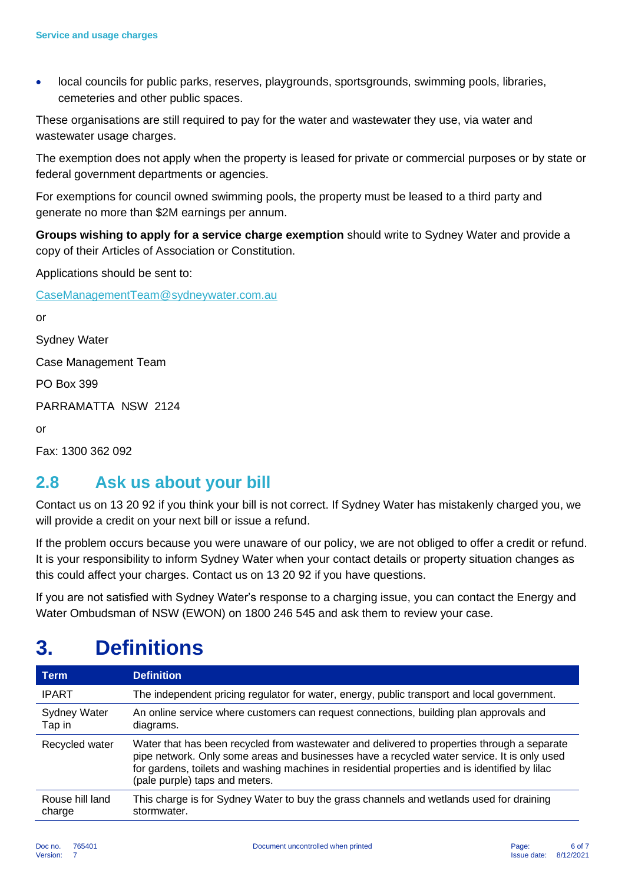• local councils for public parks, reserves, playgrounds, sportsgrounds, swimming pools, libraries, cemeteries and other public spaces.

These organisations are still required to pay for the water and wastewater they use, via water and wastewater usage charges.

The exemption does not apply when the property is leased for private or commercial purposes or by state or federal government departments or agencies.

For exemptions for council owned swimming pools, the property must be leased to a third party and generate no more than \$2M earnings per annum.

**Groups wishing to apply for a service charge exemption** should write to Sydney Water and provide a copy of their Articles of Association or Constitution.

Applications should be sent to:

[CaseManagementTeam@sydneywater.com.au](mailto:CaseManagementTeam@sydneywater.com.au)

or Sydney Water Case Management Team PO Box 399 PARRAMATTA NSW 2124 or

Fax: 1300 362 092

## **2.8 Ask us about your bill**

Contact us on 13 20 92 if you think your bill is not correct. If Sydney Water has mistakenly charged you, we will provide a credit on your next bill or issue a refund.

If the problem occurs because you were unaware of our policy, we are not obliged to offer a credit or refund. It is your responsibility to inform Sydney Water when your contact details or property situation changes as this could affect your charges. Contact us on 13 20 92 if you have questions.

If you are not satisfied with Sydney Water's response to a charging issue, you can contact the Energy and Water Ombudsman of NSW (EWON) on 1800 246 545 and ask them to review your case.

## **3. Definitions**

| <b>Term</b>                   | <b>Definition</b>                                                                                                                                                                                                                                                                                                              |
|-------------------------------|--------------------------------------------------------------------------------------------------------------------------------------------------------------------------------------------------------------------------------------------------------------------------------------------------------------------------------|
| <b>IPART</b>                  | The independent pricing regulator for water, energy, public transport and local government.                                                                                                                                                                                                                                    |
| <b>Sydney Water</b><br>Tap in | An online service where customers can request connections, building plan approvals and<br>diagrams.                                                                                                                                                                                                                            |
| Recycled water                | Water that has been recycled from wastewater and delivered to properties through a separate<br>pipe network. Only some areas and businesses have a recycled water service. It is only used<br>for gardens, toilets and washing machines in residential properties and is identified by lilac<br>(pale purple) taps and meters. |
| Rouse hill land<br>charge     | This charge is for Sydney Water to buy the grass channels and wetlands used for draining<br>stormwater.                                                                                                                                                                                                                        |